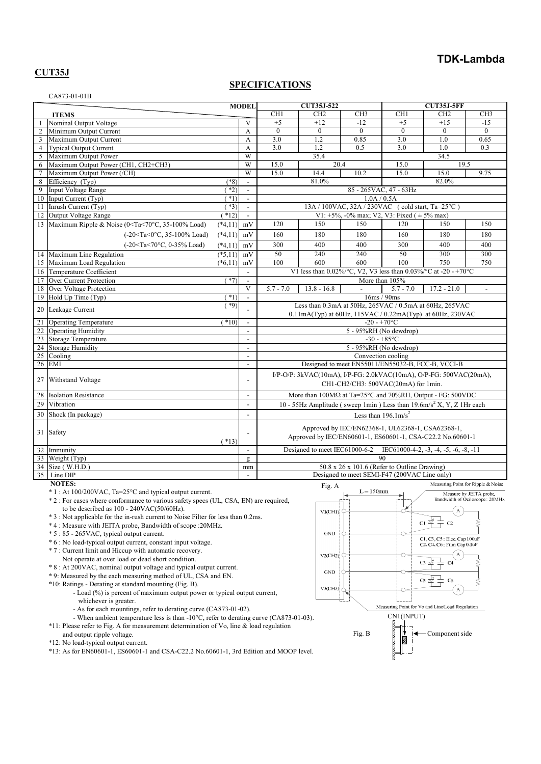## **TDK-Lambda**

### **CUT35J**

### **SPECIFICATIONS**

|                | CA873-01-01B                                                                                                                                                                                                       |           |                          |                                                                                                                                                                                |                                                                          |                                                      |                          |                                                        |                                                           |
|----------------|--------------------------------------------------------------------------------------------------------------------------------------------------------------------------------------------------------------------|-----------|--------------------------|--------------------------------------------------------------------------------------------------------------------------------------------------------------------------------|--------------------------------------------------------------------------|------------------------------------------------------|--------------------------|--------------------------------------------------------|-----------------------------------------------------------|
| <b>ITEMS</b>   |                                                                                                                                                                                                                    |           | <b>MODEL</b>             | <b>CUT35J-522</b>                                                                                                                                                              |                                                                          |                                                      | <b>CUT35J-5FF</b>        |                                                        |                                                           |
|                |                                                                                                                                                                                                                    |           |                          | CH <sub>1</sub>                                                                                                                                                                | CH <sub>2</sub>                                                          | CH <sub>3</sub>                                      | CH <sub>1</sub>          | CH <sub>2</sub>                                        | CH <sub>3</sub>                                           |
| $\mathbf{1}$   | Nominal Output Voltage                                                                                                                                                                                             |           | V                        | $+5$                                                                                                                                                                           | $+12$                                                                    | $-12$                                                | $+5$                     | $+15$                                                  | $-15$                                                     |
| $\overline{2}$ | Minimum Output Current                                                                                                                                                                                             |           | A                        | $\overline{0}$                                                                                                                                                                 | $\mathbf{0}$                                                             | $\theta$                                             | $\overline{0}$           | $\mathbf{0}$                                           | $\theta$                                                  |
| 3              | Maximum Output Current                                                                                                                                                                                             |           | A                        | 3.0                                                                                                                                                                            | 1.2                                                                      | 0.85                                                 | 3.0                      | 1.0                                                    | 0.65                                                      |
| $\overline{4}$ | <b>Typical Output Current</b>                                                                                                                                                                                      |           | A                        | 3.0                                                                                                                                                                            | 1.2                                                                      | 0.5                                                  | 3.0                      | 1.0                                                    | 0.3                                                       |
| 5              | Maximum Output Power                                                                                                                                                                                               |           | $\overline{W}$           |                                                                                                                                                                                | 35.4                                                                     |                                                      |                          | 34.5                                                   |                                                           |
| 6              | Maximum Output Power (CH1, CH2+CH3)                                                                                                                                                                                |           | W                        | 15.0                                                                                                                                                                           | 20.4                                                                     |                                                      | 15.0                     | 19.5                                                   |                                                           |
| $\tau$         | Maximum Output Power (/CH)                                                                                                                                                                                         |           | $\overline{W}$           | 15.0                                                                                                                                                                           | 14.4                                                                     | 10.2                                                 | 15.0                     | 15.0                                                   | 9.75                                                      |
| 8              | Efficiency (Typ)                                                                                                                                                                                                   | $(*8)$    | $\blacksquare$           |                                                                                                                                                                                | 81.0%                                                                    |                                                      |                          | 82.0%                                                  |                                                           |
| 9              | <b>Input Voltage Range</b>                                                                                                                                                                                         | $*2)$     | $\mathbb{L}^+$           |                                                                                                                                                                                |                                                                          |                                                      | 85 - 265 VAC, 47 - 63 Hz |                                                        |                                                           |
| 10             | Input Current (Typ)                                                                                                                                                                                                | $(*1)$    | $\blacksquare$           |                                                                                                                                                                                |                                                                          | 1.0A / 0.5A                                          |                          |                                                        |                                                           |
| 11             | Inrush Current (Typ)                                                                                                                                                                                               | $(*3)$    | $\Box$                   |                                                                                                                                                                                |                                                                          | 13A / 100VAC, 32A / 230VAC (cold start, Ta=25°C)     |                          |                                                        |                                                           |
| 12             | Output Voltage Range                                                                                                                                                                                               | $(*12)$   | $\mathbf{r}$             |                                                                                                                                                                                |                                                                          | V1: $+5\%$ , -0% max; V2, V3: Fixed ( $\pm 5\%$ max) |                          |                                                        |                                                           |
| 13             | Maximum Ripple & Noise (0 <ta<70°c, 35-100%="" load)<="" td=""><td><math>(*4,11)</math></td><td>mV</td><td>120</td><td>150</td><td>150</td><td>120</td><td>150</td><td>150</td></ta<70°c,>                         | $(*4,11)$ | mV                       | 120                                                                                                                                                                            | 150                                                                      | 150                                                  | 120                      | 150                                                    | 150                                                       |
|                | $(-20 < Ta < 0°C, 35-100\%$ Load)                                                                                                                                                                                  | $(*4,11)$ | mV                       | 160                                                                                                                                                                            | 180                                                                      | 180                                                  | 160                      | 180                                                    | 180                                                       |
|                | (-20 <ta<70°c, 0-35%="" load)<="" td=""><td><math>(*4,11)</math></td><td>mV</td><td>300</td><td>400</td><td>400</td><td>300</td><td>400</td><td>400</td></ta<70°c,>                                                | $(*4,11)$ | mV                       | 300                                                                                                                                                                            | 400                                                                      | 400                                                  | 300                      | 400                                                    | 400                                                       |
|                | 14 Maximum Line Regulation                                                                                                                                                                                         | $(*5,11)$ | mV                       | 50                                                                                                                                                                             | 240                                                                      | 240                                                  | 50                       | 300                                                    | 300                                                       |
|                | 15 Maximum Load Regulation                                                                                                                                                                                         | $(*6,11)$ | mV                       | 100                                                                                                                                                                            | 600                                                                      | 600                                                  | 100                      | 750                                                    | 750                                                       |
|                | 16 Temperature Coefficient                                                                                                                                                                                         |           | $\overline{\phantom{a}}$ | V1 less than $0.02\%$ /°C, V2, V3 less than $0.03\%$ /°C at -20 - +70°C                                                                                                        |                                                                          |                                                      |                          |                                                        |                                                           |
| 17             | Over Current Protection                                                                                                                                                                                            | $(*7)$    | $\bar{\phantom{a}}$      |                                                                                                                                                                                |                                                                          |                                                      | More than 105%           |                                                        |                                                           |
| 18             | Over Voltage Protection                                                                                                                                                                                            |           | V                        | $5.7 - 7.0$                                                                                                                                                                    | $13.8 - 16.8$                                                            |                                                      | $5.7 - 7.0$              | $17.2 - 21.0$                                          | $\overline{\phantom{a}}$                                  |
| 19             | Hold Up Time (Typ)                                                                                                                                                                                                 | $*1)$     | $\overline{\phantom{a}}$ |                                                                                                                                                                                |                                                                          |                                                      | 16ms / 90ms              |                                                        |                                                           |
|                |                                                                                                                                                                                                                    | $*9)$     |                          | Less than 0.3mA at 50Hz, 265VAC / 0.5mA at 60Hz, 265VAC                                                                                                                        |                                                                          |                                                      |                          |                                                        |                                                           |
|                | 20 Leakage Current                                                                                                                                                                                                 |           |                          |                                                                                                                                                                                | $0.11mA(Typ)$ at 60Hz, $115VAC / 0.22mA(Typ)$ at 60Hz, 230VAC            |                                                      |                          |                                                        |                                                           |
| 21             | <b>Operating Temperature</b>                                                                                                                                                                                       | $(*10)$   | $\overline{\phantom{a}}$ |                                                                                                                                                                                |                                                                          | $-20 - +70$ °C                                       |                          |                                                        |                                                           |
|                | 22 Operating Humidity                                                                                                                                                                                              |           | $\overline{\phantom{a}}$ |                                                                                                                                                                                |                                                                          |                                                      | 5 - 95%RH (No dewdrop)   |                                                        |                                                           |
| 23             | Storage Temperature                                                                                                                                                                                                |           | $\Box$                   |                                                                                                                                                                                |                                                                          |                                                      | $-30 - +85$ °C           |                                                        |                                                           |
| 24             | <b>Storage Humidity</b>                                                                                                                                                                                            |           | $\overline{a}$           |                                                                                                                                                                                |                                                                          |                                                      | 5 - 95%RH (No dewdrop)   |                                                        |                                                           |
| 25             | Cooling                                                                                                                                                                                                            |           | $\overline{\phantom{a}}$ |                                                                                                                                                                                |                                                                          | Convection cooling                                   |                          |                                                        |                                                           |
| 26             | EMI                                                                                                                                                                                                                |           | $\overline{\phantom{a}}$ |                                                                                                                                                                                |                                                                          | Designed to meet EN55011/EN55032-B, FCC-B, VCCI-B    |                          |                                                        |                                                           |
| 27             | Withstand Voltage                                                                                                                                                                                                  |           |                          |                                                                                                                                                                                | $I/P-O/P$ : 3kVAC(10mA), $I/P$ -FG: 2.0kVAC(10mA), O/P-FG: 500VAC(20mA), | CH1-CH2/CH3: 500VAC(20mA) for 1min.                  |                          |                                                        |                                                           |
| 28             | <b>Isolation Resistance</b>                                                                                                                                                                                        |           | $\overline{\phantom{a}}$ |                                                                                                                                                                                |                                                                          |                                                      |                          |                                                        |                                                           |
| 29             | Vibration                                                                                                                                                                                                          |           | $\Box$                   | More than 100MΩ at Ta=25°C and 70%RH, Output - FG: 500VDC<br>10 - 55Hz Amplitude (sweep 1min) Less than $19.6 \text{m/s}^2$ X, Y, Z 1Hr each<br>Less than $196.1 \text{m/s}^2$ |                                                                          |                                                      |                          |                                                        |                                                           |
| 30             | Shock (In package)                                                                                                                                                                                                 |           | $\sim$                   |                                                                                                                                                                                |                                                                          |                                                      |                          |                                                        |                                                           |
|                | 31 Safety                                                                                                                                                                                                          | $(*13)$   |                          |                                                                                                                                                                                | Approved by IEC/EN60601-1, ES60601-1, CSA-C22.2 No.60601-1               | Approved by IEC/EN62368-1, UL62368-1, CSA62368-1,    |                          |                                                        |                                                           |
|                | 32 Immunity                                                                                                                                                                                                        |           | $\overline{\phantom{a}}$ |                                                                                                                                                                                | Designed to meet IEC61000-6-2                                            |                                                      |                          | IEC61000-4-2, $-3$ , $-4$ , $-5$ , $-6$ , $-8$ , $-11$ |                                                           |
|                | 33 Weight (Typ)                                                                                                                                                                                                    |           | $\underline{\sigma}$     |                                                                                                                                                                                |                                                                          |                                                      | 90                       |                                                        |                                                           |
|                | 34 Size (W.H.D.)                                                                                                                                                                                                   |           | mm                       |                                                                                                                                                                                |                                                                          | 50.8 x 26 x 101.6 (Refer to Outline Drawing)         |                          |                                                        |                                                           |
|                | 35 Line DIP                                                                                                                                                                                                        |           | $\overline{\phantom{a}}$ |                                                                                                                                                                                |                                                                          | Designed to meet SEMI-F47 (200VAC Line only)         |                          |                                                        |                                                           |
|                | <b>NOTES:</b>                                                                                                                                                                                                      |           |                          |                                                                                                                                                                                | Fig. A                                                                   |                                                      |                          |                                                        | Measuring Point for Ripple & Noise                        |
|                | $*1$ : At 100/200VAC, Ta=25°C and typical output current.<br>* 2 : For cases where conformance to various safety specs (UL, CSA, EN) are required,<br>to be described as $100 - 240 \text{VAC}(50/60 \text{Hz})$ . |           |                          |                                                                                                                                                                                | V1(CH1)                                                                  | $L = 150$ mm                                         |                          |                                                        | Measure by JEITA probe.<br>Bandwidth of Ociloscope: 20MHz |
|                | * 3 : Not applicable for the in-rush current to Noise Filter for less than 0.2ms.                                                                                                                                  |           |                          |                                                                                                                                                                                |                                                                          | $\frac{1}{\pm}$ c <sub>2</sub><br>$\alpha \neq$<br>≶ |                          |                                                        |                                                           |
|                | *4: Measure with JEITA probe, Bandwidth of scope : 20MHz.<br>* 5 : 85 - 265 VAC, typical output current.                                                                                                           |           |                          |                                                                                                                                                                                | $\mathop{\rm GND}$                                                       | C                                                    |                          |                                                        |                                                           |
|                |                                                                                                                                                                                                                    |           |                          |                                                                                                                                                                                |                                                                          |                                                      |                          |                                                        |                                                           |

- \* 6 : No load-typical output current, constant input voltage.
- \* 7 : Current limit and Hiccup with automatic recovery.
- Not operate at over load or dead short condition.
- \* 8 : At 200VAC, nominal output voltage and typical output current.
- \* 9: Measured by the each measuring method of UL, CSA and EN.
- \*10: Ratings Derating at standard mounting (Fig. B).
	- Load (%) is percent of maximum output power or typical output current, whichever is greater.
	- As for each mountings, refer to derating curve (CA873-01-02).
- When ambient temperature less is than -10°C, refer to derating curve (CA873-01-03).
- \*11: Please refer to Fig. A for measurement determination of Vo, line & load regulation
- and output ripple voltage.
- \*12: No load-typical output current.
- \*13: As for EN60601-1, ES60601-1 and CSA-C22.2 No.60601-1, 3rd Edition and MOOP level.

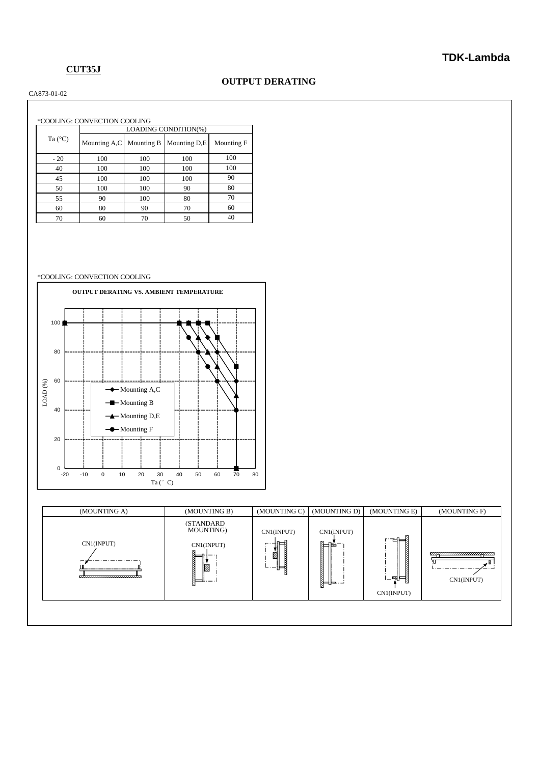## **CUT35J**

### **OUTPUT DERATING**

CA873-01-02

|                  | *COOLING: CONVECTION COOLING |            |              |            |  |  |
|------------------|------------------------------|------------|--------------|------------|--|--|
|                  | LOADING CONDITION(%)         |            |              |            |  |  |
| Ta $(^{\circ}C)$ | Mounting A,C                 | Mounting B | Mounting D,E | Mounting F |  |  |
| $-20$            | 100                          | 100        | 100          | 100        |  |  |
| 40               | 100                          | 100        | 100          | 100        |  |  |
| 45               | 100                          | 100        | 100          | 90         |  |  |
| 50               | 100                          | 100        | 90           | 80         |  |  |
| 55               | 90                           | 100        | 80           | 70         |  |  |
| 60               | 80                           | 90         | 70           | 60         |  |  |
| 70               | 60                           | 70         | 50           | 40         |  |  |

#### \*COOLING: CONVECTION COOLING



| <b>(STANDARD)</b><br>MOUNTING)<br>CN1(INPUT)<br>CN1(INPUT)<br>럼<br>⊨<br>CN1(INPUT)<br>CN1(INPUT)<br>⋐⊫<br><u>enpromonomonpon</u><br>Ø,<br>Ø<br>௪<br>,,,,,,,,,,,,,,,,,,,,,,,,,,,,,<br>1_图目<br>CN1(INPUT)<br>N-1- -<br>K.<br>CN1(INPUT) | (MOUNTING A) | (MOUNTING B) | (MOUNTING C) | (MOUNTING D) | (MOUNTING E) | (MOUNTING F) |
|---------------------------------------------------------------------------------------------------------------------------------------------------------------------------------------------------------------------------------------|--------------|--------------|--------------|--------------|--------------|--------------|
|                                                                                                                                                                                                                                       |              |              |              |              |              |              |